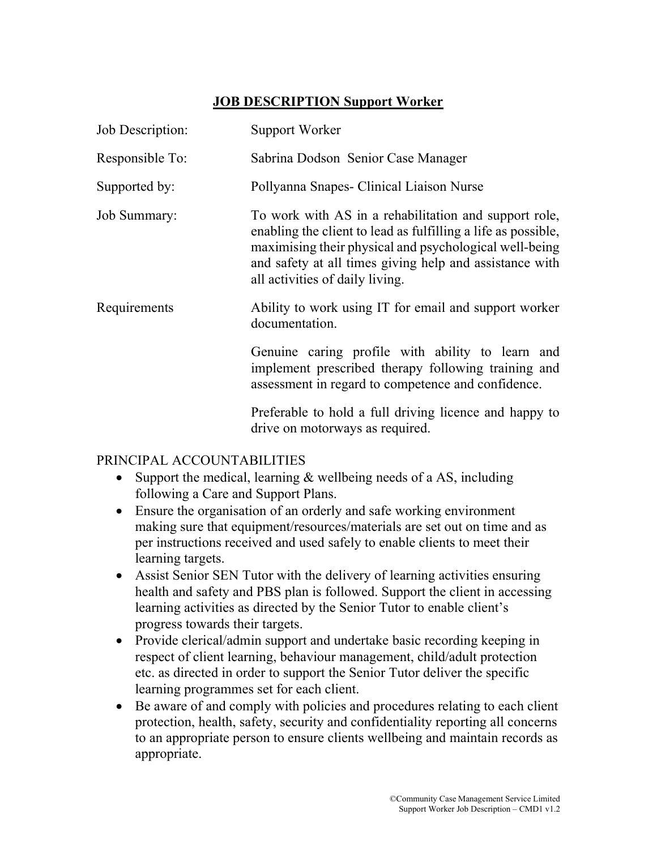## JOB DESCRIPTION Support Worker

| Job Description:    | <b>Support Worker</b>                                                                                                                                                                                                                                                          |
|---------------------|--------------------------------------------------------------------------------------------------------------------------------------------------------------------------------------------------------------------------------------------------------------------------------|
| Responsible To:     | Sabrina Dodson Senior Case Manager                                                                                                                                                                                                                                             |
| Supported by:       | Pollyanna Snapes- Clinical Liaison Nurse                                                                                                                                                                                                                                       |
| <b>Job Summary:</b> | To work with AS in a rehabilitation and support role,<br>enabling the client to lead as fulfilling a life as possible,<br>maximising their physical and psychological well-being<br>and safety at all times giving help and assistance with<br>all activities of daily living. |
| Requirements        | Ability to work using IT for email and support worker<br>documentation.                                                                                                                                                                                                        |
|                     | Genuine caring profile with ability to learn and<br>implement prescribed therapy following training and<br>assessment in regard to competence and confidence.                                                                                                                  |
|                     | Preferable to hold a full driving licence and happy to<br>drive on motorways as required.                                                                                                                                                                                      |

## PRINCIPAL ACCOUNTABILITIES

- Support the medical, learning & wellbeing needs of a AS, including following a Care and Support Plans.
- Ensure the organisation of an orderly and safe working environment making sure that equipment/resources/materials are set out on time and as per instructions received and used safely to enable clients to meet their learning targets.
- Assist Senior SEN Tutor with the delivery of learning activities ensuring health and safety and PBS plan is followed. Support the client in accessing learning activities as directed by the Senior Tutor to enable client's progress towards their targets.
- Provide clerical/admin support and undertake basic recording keeping in respect of client learning, behaviour management, child/adult protection etc. as directed in order to support the Senior Tutor deliver the specific learning programmes set for each client.
- Be aware of and comply with policies and procedures relating to each client protection, health, safety, security and confidentiality reporting all concerns to an appropriate person to ensure clients wellbeing and maintain records as appropriate.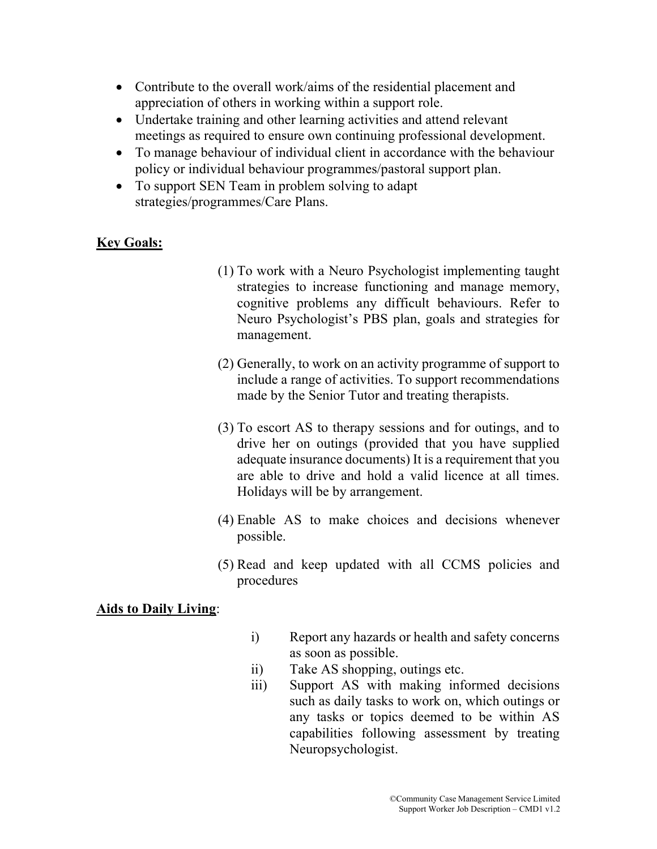- Contribute to the overall work/aims of the residential placement and appreciation of others in working within a support role.
- Undertake training and other learning activities and attend relevant meetings as required to ensure own continuing professional development.
- To manage behaviour of individual client in accordance with the behaviour policy or individual behaviour programmes/pastoral support plan.
- To support SEN Team in problem solving to adapt strategies/programmes/Care Plans.

## Key Goals:

- (1) To work with a Neuro Psychologist implementing taught strategies to increase functioning and manage memory, cognitive problems any difficult behaviours. Refer to Neuro Psychologist's PBS plan, goals and strategies for management.
- (2) Generally, to work on an activity programme of support to include a range of activities. To support recommendations made by the Senior Tutor and treating therapists.
- (3) To escort AS to therapy sessions and for outings, and to drive her on outings (provided that you have supplied adequate insurance documents) It is a requirement that you are able to drive and hold a valid licence at all times. Holidays will be by arrangement.
- (4) Enable AS to make choices and decisions whenever possible.
- (5) Read and keep updated with all CCMS policies and procedures

## Aids to Daily Living: Ξ

- i) Report any hazards or health and safety concerns as soon as possible.
- ii) Take AS shopping, outings etc.
- iii) Support AS with making informed decisions such as daily tasks to work on, which outings or any tasks or topics deemed to be within AS capabilities following assessment by treating Neuropsychologist.